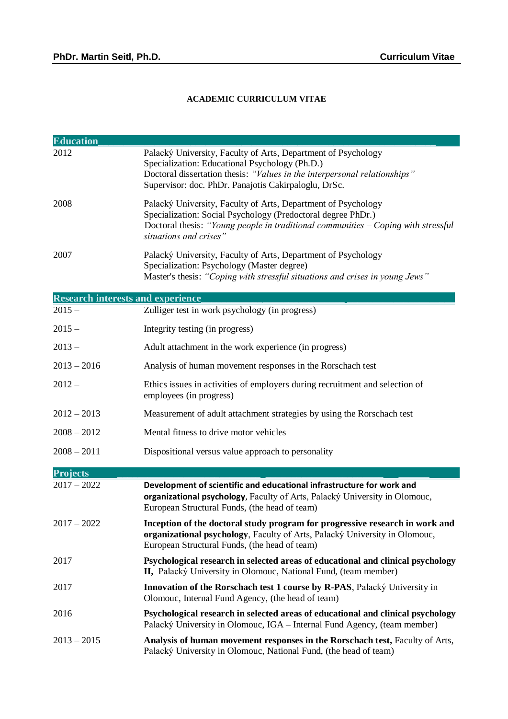## **ACADEMIC CURRICULUM VITAE**

| <b>Education</b>                         |                                                                                                                                                                                                                                                      |
|------------------------------------------|------------------------------------------------------------------------------------------------------------------------------------------------------------------------------------------------------------------------------------------------------|
| 2012                                     | Palacký University, Faculty of Arts, Department of Psychology<br>Specialization: Educational Psychology (Ph.D.)<br>Doctoral dissertation thesis: "Values in the interpersonal relationships"<br>Supervisor: doc. PhDr. Panajotis Cakirpaloglu, DrSc. |
| 2008                                     | Palacký University, Faculty of Arts, Department of Psychology<br>Specialization: Social Psychology (Predoctoral degree PhDr.)<br>Doctoral thesis: "Young people in traditional communities $-$ Coping with stressful<br>situations and crises"       |
| 2007                                     | Palacký University, Faculty of Arts, Department of Psychology<br>Specialization: Psychology (Master degree)<br>Master's thesis: "Coping with stressful situations and crises in young Jews"                                                          |
| <b>Research interests and experience</b> |                                                                                                                                                                                                                                                      |
| $2015 -$                                 | Zulliger test in work psychology (in progress)                                                                                                                                                                                                       |
| $2015 -$                                 | Integrity testing (in progress)                                                                                                                                                                                                                      |
| $2013 -$                                 | Adult attachment in the work experience (in progress)                                                                                                                                                                                                |
| $2013 - 2016$                            | Analysis of human movement responses in the Rorschach test                                                                                                                                                                                           |
| $2012 -$                                 | Ethics issues in activities of employers during recruitment and selection of<br>employees (in progress)                                                                                                                                              |
| $2012 - 2013$                            | Measurement of adult attachment strategies by using the Rorschach test                                                                                                                                                                               |
| $2008 - 2012$                            | Mental fitness to drive motor vehicles                                                                                                                                                                                                               |
| $2008 - 2011$                            | Dispositional versus value approach to personality                                                                                                                                                                                                   |
| <b>Projects</b>                          |                                                                                                                                                                                                                                                      |
| $2017 - 2022$                            | Development of scientific and educational infrastructure for work and<br>organizational psychology, Faculty of Arts, Palacký University in Olomouc,<br>European Structural Funds, (the head of team)                                                 |
| $2017 - 2022$                            | Inception of the doctoral study program for progressive research in work and<br>organizational psychology, Faculty of Arts, Palacký University in Olomouc,<br>European Structural Funds, (the head of team)                                          |
| 2017                                     | Psychological research in selected areas of educational and clinical psychology<br>II, Palacký University in Olomouc, National Fund, (team member)                                                                                                   |
| 2017                                     | <b>Innovation of the Rorschach test 1 course by R-PAS</b> , Palacký University in<br>Olomouc, Internal Fund Agency, (the head of team)                                                                                                               |
| 2016                                     | Psychological research in selected areas of educational and clinical psychology<br>Palacký University in Olomouc, IGA – Internal Fund Agency, (team member)                                                                                          |
| $2013 - 2015$                            | Analysis of human movement responses in the Rorschach test, Faculty of Arts,<br>Palacký University in Olomouc, National Fund, (the head of team)                                                                                                     |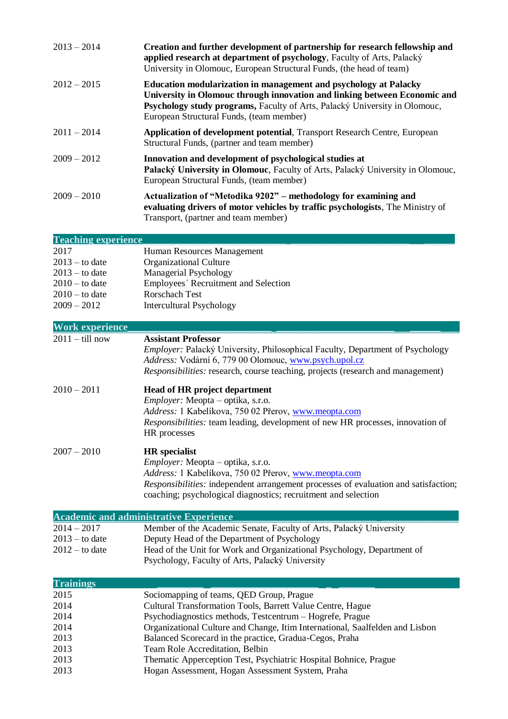| $2013 - 2014$              | Creation and further development of partnership for research fellowship and<br>applied research at department of psychology, Faculty of Arts, Palacký<br>University in Olomouc, European Structural Funds, (the head of team)                                                  |
|----------------------------|--------------------------------------------------------------------------------------------------------------------------------------------------------------------------------------------------------------------------------------------------------------------------------|
| $2012 - 2015$              | <b>Education modularization in management and psychology at Palacky</b><br>University in Olomouc through innovation and linking between Economic and<br>Psychology study programs, Faculty of Arts, Palacký University in Olomouc,<br>European Structural Funds, (team member) |
| $2011 - 2014$              | <b>Application of development potential, Transport Research Centre, European</b><br>Structural Funds, (partner and team member)                                                                                                                                                |
| $2009 - 2012$              | Innovation and development of psychological studies at<br>Palacký University in Olomouc, Faculty of Arts, Palacký University in Olomouc,<br>European Structural Funds, (team member)                                                                                           |
| $2009 - 2010$              | Actualization of "Metodika 9202" - methodology for examining and<br>evaluating drivers of motor vehicles by traffic psychologists, The Ministry of<br>Transport, (partner and team member)                                                                                     |
| <b>Teaching experience</b> |                                                                                                                                                                                                                                                                                |
| 2017                       | Human Resources Management                                                                                                                                                                                                                                                     |
| $2013 -$ to date           | <b>Organizational Culture</b>                                                                                                                                                                                                                                                  |

| $2013 -$ to date<br>$2010 -$ to date<br>$2010 -$ to date<br>$2009 - 2012$ | $\sigma$ r guinzational $\sigma$ antar $\sigma$<br>Managerial Psychology<br>Employees' Recruitment and Selection<br><b>Rorschach Test</b><br><b>Intercultural Psychology</b>                                                                                                             |
|---------------------------------------------------------------------------|------------------------------------------------------------------------------------------------------------------------------------------------------------------------------------------------------------------------------------------------------------------------------------------|
| <b>Work experience</b>                                                    |                                                                                                                                                                                                                                                                                          |
| $2011 -$ till now                                                         | <b>Assistant Professor</b><br>Employer: Palacký University, Philosophical Faculty, Department of Psychology<br>Address: Vodární 6, 779 00 Olomouc, www.psych.upol.cz<br>Responsibilities: research, course teaching, projects (research and management)                                  |
| $2010 - 2011$                                                             | <b>Head of HR project department</b><br><i>Employer:</i> Meopta – optika, s.r.o.<br>Address: 1 Kabelíkova, 750 02 Přerov, www.meopta.com<br><i>Responsibilities:</i> team leading, development of new HR processes, innovation of<br>HR processes                                        |
| $2007 - 2010$                                                             | <b>HR</b> specialist<br><i>Employer:</i> Meopta – optika, s.r.o.<br>Address: 1 Kabelíkova, 750 02 Přerov, www.meopta.com<br><i>Responsibilities:</i> independent arrangement processes of evaluation and satisfaction;<br>coaching; psychological diagnostics; recruitment and selection |

|                  | <b>Academic and administrative Experience</b>                          |  |
|------------------|------------------------------------------------------------------------|--|
| $2014 - 2017$    | Member of the Academic Senate, Faculty of Arts, Palacký University     |  |
| $2013 -$ to date | Deputy Head of the Department of Psychology                            |  |
| $2012 -$ to date | Head of the Unit for Work and Organizational Psychology, Department of |  |
|                  | Psychology, Faculty of Arts, Palacký University                        |  |

| <b>Trainings</b> |                                                                              |
|------------------|------------------------------------------------------------------------------|
| 2015             | Sociomapping of teams, QED Group, Prague                                     |
| 2014             | Cultural Transformation Tools, Barrett Value Centre, Hague                   |
| 2014             | Psychodiagnostics methods, Testcentrum – Hogrefe, Prague                     |
| 2014             | Organizational Culture and Change, Itim International, Saalfelden and Lisbon |
| 2013             | Balanced Scorecard in the practice, Gradua-Cegos, Praha                      |
| 2013             | Team Role Accreditation, Belbin                                              |
| 2013             | Thematic Apperception Test, Psychiatric Hospital Bohnice, Prague             |
| 2013             | Hogan Assessment, Hogan Assessment System, Praha                             |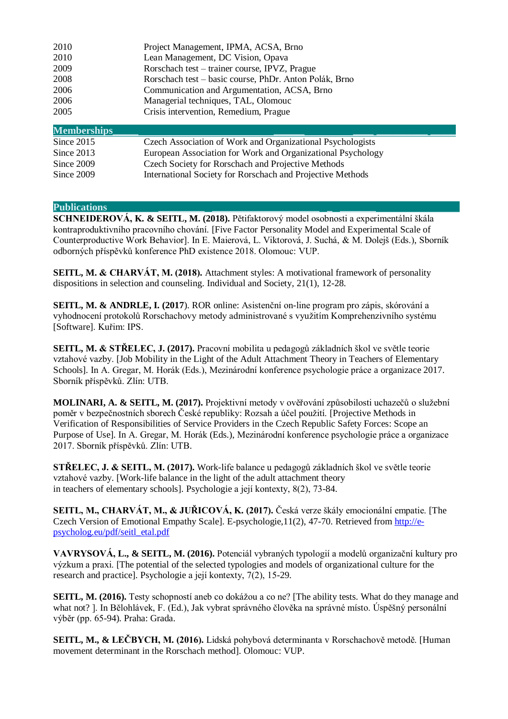| 2010               | Project Management, IPMA, ACSA, Brno                        |
|--------------------|-------------------------------------------------------------|
| 2010               | Lean Management, DC Vision, Opava                           |
| 2009               | Rorschach test – trainer course, IPVZ, Prague               |
| 2008               | Rorschach test – basic course, PhDr. Anton Polák, Brno      |
| 2006               | Communication and Argumentation, ACSA, Brno                 |
| 2006               | Managerial techniques, TAL, Olomouc                         |
| 2005               | Crisis intervention, Remedium, Prague                       |
| <b>Memberships</b> |                                                             |
| Since $2015$       | Czech Association of Work and Organizational Psychologists  |
| Since $2013$       | European Association for Work and Organizational Psychology |
| Since 2009         | Czech Society for Rorschach and Projective Methods          |
| Since 2009         | International Society for Rorschach and Projective Methods  |
|                    |                                                             |

## Publications

**SCHNEIDEROVÁ, K. & SEITL, M. (2018).** Pětifaktorový model osobnosti a experimentální škála kontraproduktivního pracovního chování. [Five Factor Personality Model and Experimental Scale of Counterproductive Work Behavior]. In E. Maierová, L. Viktorová, J. Suchá, & M. Dolejš (Eds.), Sborník odborných příspěvků konference PhD existence 2018. Olomouc: VUP.

**SEITL, M. & CHARVÁT, M. (2018).** Attachment styles: A motivational framework of personality dispositions in selection and counseling. Individual and Society, 21(1), 12-28.

**SEITL, M. & ANDRLE, I. (2017**). ROR online: Asistenční on-line program pro zápis, skórování a vyhodnocení protokolů Rorschachovy metody administrované s využitím Komprehenzivního systému [Software]. Kuřim: IPS.

**SEITL, M. & STŘELEC, J. (2017).** Pracovní mobilita u pedagogů základních škol ve světle teorie vztahové vazby. [Job Mobility in the Light of the Adult Attachment Theory in Teachers of Elementary Schools]. In A. Gregar, M. Horák (Eds.), Mezinárodní konference psychologie práce a organizace 2017. Sborník příspěvků. Zlín: UTB.

**MOLINARI, A. & SEITL, M. (2017).** Projektivní metody v ověřování způsobilosti uchazečů o služební poměr v bezpečnostních sborech České republiky: Rozsah a účel použití. [Projective Methods in Verification of Responsibilities of Service Providers in the Czech Republic Safety Forces: Scope an Purpose of Use]. In A. Gregar, M. Horák (Eds.), Mezinárodní konference psychologie práce a organizace 2017. Sborník příspěvků. Zlín: UTB.

**STŘELEC, J. & SEITL, M. (2017).** Work-life balance u pedagogů základních škol ve světle teorie vztahové vazby. [Work-life balance in the light of the adult attachment theory in teachers of elementary schools]. Psychologie a její kontexty, 8(2), 73-84.

**SEITL, M., CHARVÁT, M., & JUŘICOVÁ, K. (2017).** Česká verze škály emocionální empatie. [The Czech Version of Emotional Empathy Scale]. E-psychologie,11(2), 47-70. Retrieved from [http://e](http://e-psycholog.eu/pdf/seitl_etal.pdf)[psycholog.eu/pdf/seitl\\_etal.pdf](http://e-psycholog.eu/pdf/seitl_etal.pdf)

**VAVRYSOVÁ, L., & SEITL, M. (2016).** Potenciál vybraných typologií a modelů organizační kultury pro výzkum a praxi. [The potential of the selected typologies and models of organizational culture for the research and practice]. Psychologie a její kontexty, 7(2), 15-29.

**SEITL, M. (2016).** Testy schopností aneb co dokážou a co ne? [The ability tests. What do they manage and what not? ]. In Bělohlávek, F. (Ed.), Jak vybrat správného člověka na správné místo. Úspěšný personální výběr (pp. 65-94). Praha: Grada.

**SEITL, M., & LEČBYCH, M. (2016).** Lidská pohybová determinanta v Rorschachově metodě. [Human movement determinant in the Rorschach method]. Olomouc: VUP.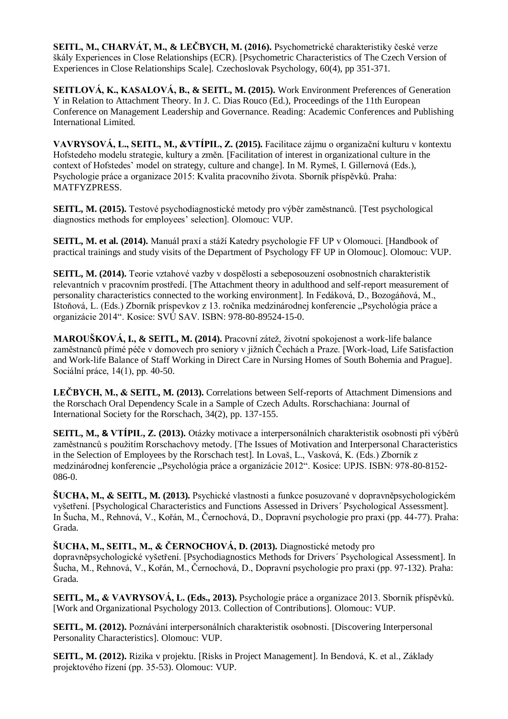**SEITL, M., CHARVÁT, M., & LEČBYCH, M. (2016).** Psychometrické charakteristiky české verze škály Experiences in Close Relationships (ECR). [Psychometric Characteristics of The Czech Version of Experiences in Close Relationships Scale]. Czechoslovak Psychology, 60(4), pp 351-371.

**SEITLOVÁ, K., KASALOVÁ, B., & SEITL, M. (2015).** Work Environment Preferences of Generation Y in Relation to Attachment Theory. In J. C. Dias Rouco (Ed.), Proceedings of the 11th European Conference on Management Leadership and Governance. Reading: Academic Conferences and Publishing International Limited.

**VAVRYSOVÁ, L., SEITL, M., &VTÍPIL, Z. (2015).** Facilitace zájmu o organizační kulturu v kontextu Hofstedeho modelu strategie, kultury a změn. [Facilitation of interest in organizational culture in the context of Hofstedes' model on strategy, culture and change]. In M. Rymeš, I. Gillernová (Eds.), Psychologie práce a organizace 2015: Kvalita pracovního života. Sborník příspěvků. Praha: MATFYZPRESS.

**SEITL, M. (2015).** Testové psychodiagnostické metody pro výběr zaměstnanců. [Test psychological diagnostics methods for employees' selection]. Olomouc: VUP.

**SEITL, M. et al. (2014).** Manuál praxí a stáží Katedry psychologie FF UP v Olomouci. [Handbook of practical trainings and study visits of the Department of Psychology FF UP in Olomouc]. Olomouc: VUP.

**SEITL, M. (2014).** Teorie vztahové vazby v dospělosti a sebeposouzení osobnostních charakteristik relevantních v pracovním prostředí. [The Attachment theory in adulthood and self-report measurement of personality characteristics connected to the working environment]. In Fedáková, D., Bozogáňová, M., Ištoňová, L. (Eds.) Zborník príspevkov z 13. ročníka medzinárodnej konferencie "Psychológia práce a organizácie 2014". Kosice: SVÚ SAV. ISBN: 978-80-89524-15-0.

**MAROUŠKOVÁ, I., & SEITL, M. (2014).** Pracovní zátež, životní spokojenost a work-life balance zaměstnanců přímé péče v domovech pro seniory v jižních Čechách a Praze. [Work-load, Life Satisfaction and Work-life Balance of Staff Working in Direct Care in Nursing Homes of South Bohemia and Prague]. Sociální práce, 14(1), pp. 40-50.

**LEČBYCH, M., & SEITL, M. (2013).** Correlations between Self-reports of Attachment Dimensions and the Rorschach Oral Dependency Scale in a Sample of Czech Adults. Rorschachiana: Journal of International Society for the Rorschach, 34(2), pp. 137-155.

**SEITL, M., & VTÍPIL, Z. (2013).** Otázky motivace a interpersonálních charakteristik osobnosti při výběrů zaměstnanců s použitím Rorschachovy metody. [The Issues of Motivation and Interpersonal Characteristics in the Selection of Employees by the Rorschach test]. In Lovaš, L., Vasková, K. (Eds.) Zborník z medzinárodnej konferencie "Psychológia práce a organizácie 2012". Kosice: UPJS. ISBN: 978-80-8152-086-0.

**ŠUCHA, M., & SEITL, M. (2013).** Psychické vlastnosti a funkce posuzované v dopravněpsychologickém vyšetření. [Psychological Characteristics and Functions Assessed in Drivers´ Psychological Assessment]. In Šucha, M., Rehnová, V., Kořán, M., Černochová, D., Dopravní psychologie pro praxi (pp. 44-77). Praha: Grada.

**ŠUCHA, M., SEITL, M., & ČERNOCHOVÁ, D. (2013).** Diagnostické metody pro

dopravněpsychologické vyšetření. [Psychodiagnostics Methods for Drivers´ Psychological Assessment]. In Šucha, M., Rehnová, V., Kořán, M., Černochová, D., Dopravní psychologie pro praxi (pp. 97-132). Praha: Grada.

**SEITL, M., & VAVRYSOVÁ, L. (Eds., 2013).** Psychologie práce a organizace 2013. Sborník příspěvků. [Work and Organizational Psychology 2013. Collection of Contributions]. Olomouc: VUP.

**SEITL, M. (2012).** Poznávání interpersonálních charakteristik osobnosti. [Discovering Interpersonal Personality Characteristics]. Olomouc: VUP.

**SEITL, M. (2012).** Rizika v projektu. [Risks in Project Management]. In Bendová, K. et al., Základy projektového řízení (pp. 35-53). Olomouc: VUP.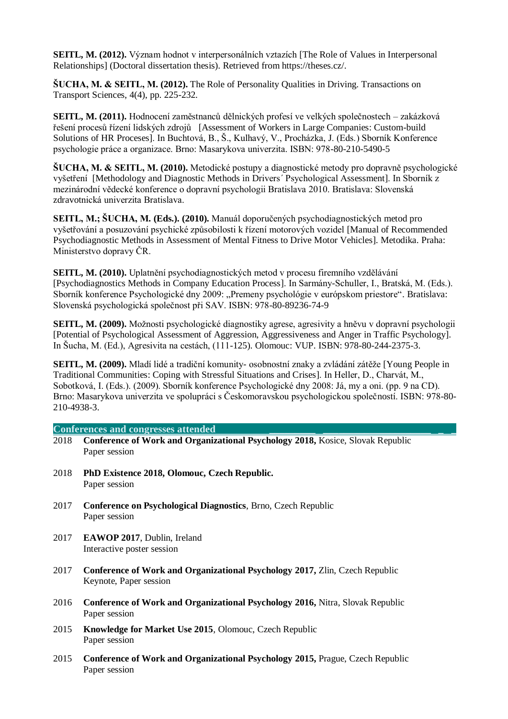**SEITL, M. (2012).** Význam hodnot v interpersonálních vztazích [The Role of Values in Interpersonal Relationships] (Doctoral dissertation thesis). Retrieved from https://theses.cz/.

**ŠUCHA, M. & SEITL, M. (2012).** The Role of Personality Qualities in Driving. Transactions on Transport Sciences, 4(4), pp. 225-232.

**SEITL, M. (2011).** Hodnocení zaměstnanců dělnických profesí ve velkých společnostech – zakázková řešení procesů řízení lidských zdrojů [Assessment of Workers in Large Companies: Custom-build Solutions of HR Proceses]. In Buchtová, B., Š., Kulhavý, V., Procházka, J. (Eds.) Sborník Konference psychologie práce a organizace. Brno: Masarykova univerzita. ISBN: 978-80-210-5490-5

**ŠUCHA, M. & SEITL, M. (2010).** Metodické postupy a diagnostické metody pro dopravně psychologické vyšetření [Methodology and Diagnostic Methods in Drivers´ Psychological Assessment]. In Sborník z mezinárodní vědecké konference o dopravní psychologii Bratislava 2010. Bratislava: Slovenská zdravotnická univerzita Bratislava.

**SEITL, M.; ŠUCHA, M. (Eds.). (2010).** Manuál doporučených psychodiagnostických metod pro vyšetřování a posuzování psychické způsobilosti k řízení motorových vozidel [Manual of Recommended Psychodiagnostic Methods in Assessment of Mental Fitness to Drive Motor Vehicles]. Metodika. Praha: Ministerstvo dopravy ČR.

**SEITL, M. (2010).** Uplatnění psychodiagnostických metod v procesu firemního vzdělávání [Psychodiagnostics Methods in Company Education Process]. In Sarmány-Schuller, I., Bratská, M. (Eds.). Sborník konference Psychologické dny 2009: "Premeny psychológie v európskom priestore". Bratislava: Slovenská psychologická společnost při SAV. ISBN: 978-80-89236-74-9

**SEITL, M. (2009).** Možnosti psychologické diagnostiky agrese, agresivity a hněvu v dopravní psychologii [Potential of Psychological Assessment of Aggression, Aggressiveness and Anger in Traffic Psychology]. In Šucha, M. (Ed.), Agresivita na cestách, (111-125). Olomouc: VUP. ISBN: 978-80-244-2375-3.

**SEITL, M. (2009).** Mladí lidé a tradiční komunity- osobnostní znaky a zvládání zátěže [Young People in Traditional Communities: Coping with Stressful Situations and Crises]. In Heller, D., Charvát, M., Sobotková, I. (Eds.). (2009). Sborník konference Psychologické dny 2008: Já, my a oni. (pp. 9 na CD). Brno: Masarykova univerzita ve spolupráci s Českomoravskou psychologickou společností. ISBN: 978-80- 210-4938-3.

## **Conferences and congresses attended \_\_\_\_\_\_\_\_\_ \_\_\_\_\_\_\_\_\_\_\_\_\_\_\_\_\_\_\_\_\_ \_ \_**

- 2018 **Conference of Work and Organizational Psychology 2018,** Kosice, Slovak Republic Paper session
- 2018 **PhD Existence 2018, Olomouc, Czech Republic.** Paper session
- 2017 **Conference on Psychological Diagnostics**, Brno, Czech Republic Paper session
- 2017 **EAWOP 2017**, Dublin, Ireland Interactive poster session
- 2017 **Conference of Work and Organizational Psychology 2017,** Zlin, Czech Republic Keynote, Paper session
- 2016 **Conference of Work and Organizational Psychology 2016,** Nitra, Slovak Republic Paper session
- 2015 **Knowledge for Market Use 2015**, Olomouc, Czech Republic Paper session
- 2015 **Conference of Work and Organizational Psychology 2015,** Prague, Czech Republic Paper session